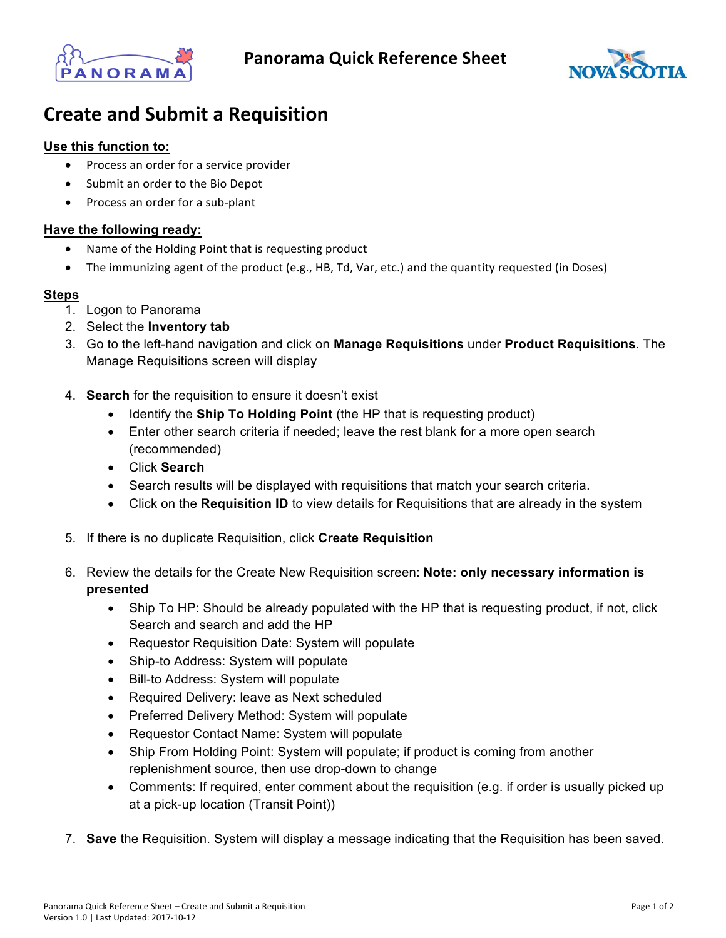



## **Create and Submit a Requisition**

## **Use this function to:**

- Process an order for a service provider
- Submit an order to the Bio Depot
- Process an order for a sub-plant

## **Have the following ready:**

- Name of the Holding Point that is requesting product
- The immunizing agent of the product (e.g., HB, Td, Var, etc.) and the quantity requested (in Doses)

## **Steps**

- 1. Logon to Panorama
- 2. Select the **Inventory tab**
- 3. Go to the left-hand navigation and click on **Manage Requisitions** under **Product Requisitions**. The Manage Requisitions screen will display
- 4. **Search** for the requisition to ensure it doesn't exist
	- Identify the **Ship To Holding Point** (the HP that is requesting product)
	- Enter other search criteria if needed: leave the rest blank for a more open search (recommended)
	- Click **Search**
	- Search results will be displayed with requisitions that match your search criteria.
	- Click on the **Requisition ID** to view details for Requisitions that are already in the system
- 5. If there is no duplicate Requisition, click **Create Requisition**
- 6. Review the details for the Create New Requisition screen: **Note: only necessary information is presented** 
	- Ship To HP: Should be already populated with the HP that is requesting product, if not, click Search and search and add the HP
	- Requestor Requisition Date: System will populate
	- Ship-to Address: System will populate
	- Bill-to Address: System will populate
	- Required Delivery: leave as Next scheduled
	- Preferred Delivery Method: System will populate
	- Requestor Contact Name: System will populate
	- Ship From Holding Point: System will populate; if product is coming from another replenishment source, then use drop-down to change
	- Comments: If required, enter comment about the requisition (e.g. if order is usually picked up at a pick-up location (Transit Point))
- 7. **Save** the Requisition. System will display a message indicating that the Requisition has been saved.